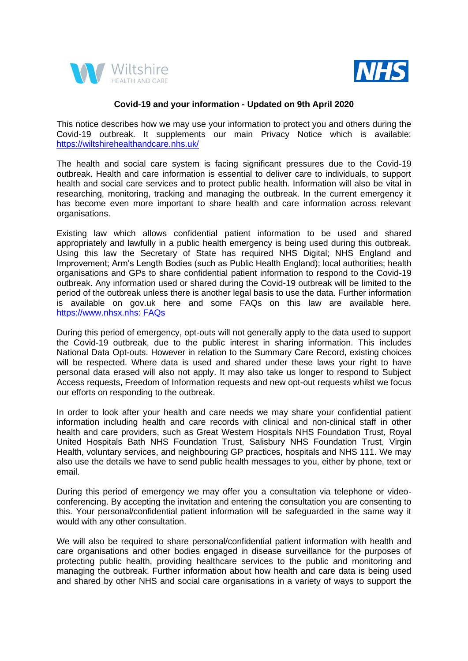



## **Covid-19 and your information - Updated on 9th April 2020**

This notice describes how we may use your information to protect you and others during the Covid-19 outbreak. It supplements our main Privacy Notice which is available: <https://wiltshirehealthandcare.nhs.uk/>

The health and social care system is facing significant pressures due to the Covid-19 outbreak. Health and care information is essential to deliver care to individuals, to support health and social care services and to protect public health. Information will also be vital in researching, monitoring, tracking and managing the outbreak. In the current emergency it has become even more important to share health and care information across relevant organisations.

Existing law which allows confidential patient information to be used and shared appropriately and lawfully in a public health emergency is being used during this outbreak. Using this law the Secretary of State has required NHS Digital; NHS England and Improvement; Arm's Length Bodies (such as Public Health England); local authorities; health organisations and GPs to share confidential patient information to respond to the Covid-19 outbreak. Any information used or shared during the Covid-19 outbreak will be limited to the period of the outbreak unless there is another legal basis to use the data. Further information is available on gov.uk here and some FAQs on this law are available here. [https://www.nhsx.nhs: FAQs](https://www.nhsx.nhs.uk/key-information-and-tools/information-governance-guidance/COPI-notice-FAQs)

During this period of emergency, opt-outs will not generally apply to the data used to support the Covid-19 outbreak, due to the public interest in sharing information. This includes National Data Opt-outs. However in relation to the Summary Care Record, existing choices will be respected. Where data is used and shared under these laws your right to have personal data erased will also not apply. It may also take us longer to respond to Subject Access requests, Freedom of Information requests and new opt-out requests whilst we focus our efforts on responding to the outbreak.

In order to look after your health and care needs we may share your confidential patient information including health and care records with clinical and non-clinical staff in other health and care providers, such as Great Western Hospitals NHS Foundation Trust, Royal United Hospitals Bath NHS Foundation Trust, Salisbury NHS Foundation Trust, Virgin Health, voluntary services, and neighbouring GP practices, hospitals and NHS 111. We may also use the details we have to send public health messages to you, either by phone, text or email.

During this period of emergency we may offer you a consultation via telephone or videoconferencing. By accepting the invitation and entering the consultation you are consenting to this. Your personal/confidential patient information will be safeguarded in the same way it would with any other consultation.

We will also be required to share personal/confidential patient information with health and care organisations and other bodies engaged in disease surveillance for the purposes of protecting public health, providing healthcare services to the public and monitoring and managing the outbreak. Further information about how health and care data is being used and shared by other NHS and social care organisations in a variety of ways to support the